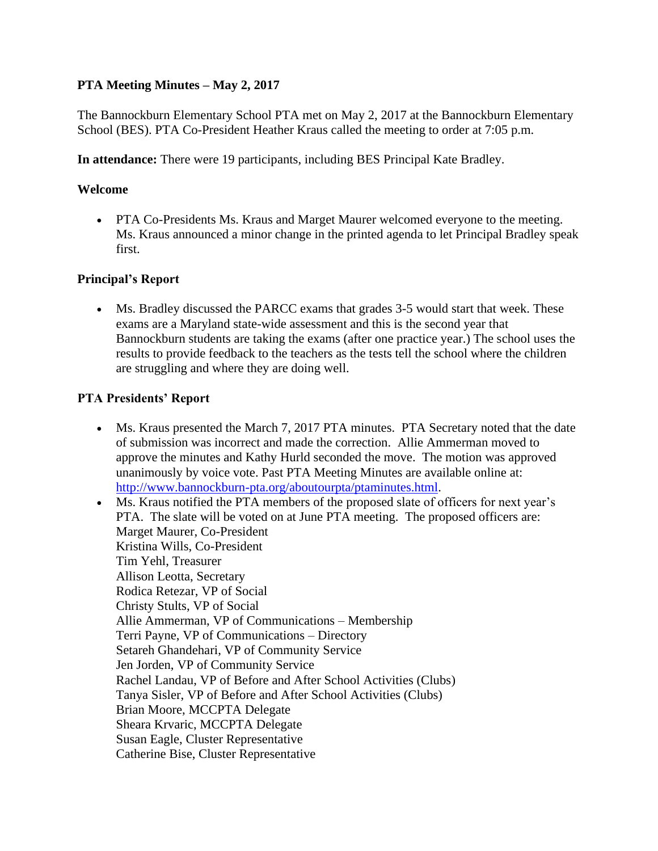## **PTA Meeting Minutes – May 2, 2017**

The Bannockburn Elementary School PTA met on May 2, 2017 at the Bannockburn Elementary School (BES). PTA Co-President Heather Kraus called the meeting to order at 7:05 p.m.

**In attendance:** There were 19 participants, including BES Principal Kate Bradley.

## **Welcome**

• PTA Co-Presidents Ms. Kraus and Marget Maurer welcomed everyone to the meeting. Ms. Kraus announced a minor change in the printed agenda to let Principal Bradley speak first.

## **Principal's Report**

• Ms. Bradley discussed the PARCC exams that grades 3-5 would start that week. These exams are a Maryland state-wide assessment and this is the second year that Bannockburn students are taking the exams (after one practice year.) The school uses the results to provide feedback to the teachers as the tests tell the school where the children are struggling and where they are doing well.

## **PTA Presidents' Report**

- Ms. Kraus presented the March 7, 2017 PTA minutes. PTA Secretary noted that the date of submission was incorrect and made the correction. Allie Ammerman moved to approve the minutes and Kathy Hurld seconded the move. The motion was approved unanimously by voice vote. Past PTA Meeting Minutes are available online at: [http://www.bannockburn-pta.org/aboutourpta/ptaminutes.html.](http://www.bannockburn-pta.org/aboutourpta/ptaminutes.html)
- Ms. Kraus notified the PTA members of the proposed slate of officers for next year's PTA. The slate will be voted on at June PTA meeting. The proposed officers are: Marget Maurer, Co-President Kristina Wills, Co-President Tim Yehl, Treasurer Allison Leotta, Secretary Rodica Retezar, VP of Social Christy Stults, VP of Social Allie Ammerman, VP of Communications – Membership Terri Payne, VP of Communications – Directory Setareh Ghandehari, VP of Community Service Jen Jorden, VP of Community Service Rachel Landau, VP of Before and After School Activities (Clubs) Tanya Sisler, VP of Before and After School Activities (Clubs) Brian Moore, MCCPTA Delegate Sheara Krvaric, MCCPTA Delegate Susan Eagle, Cluster Representative Catherine Bise, Cluster Representative